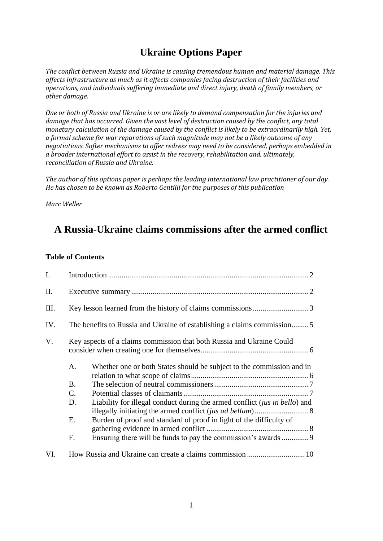# **Ukraine Options Paper**

*The conflict between Russia and Ukraine is causing tremendous human and material damage. This affects infrastructure as much as it affects companies facing destruction of their facilities and operations, and individuals suffering immediate and direct injury, death of family members, or other damage.*

*One or both of Russia and Ukraine is or are likely to demand compensation for the injuries and damage that has occurred. Given the vast level of destruction caused by the conflict, any total monetary calculation of the damage caused by the conflict is likely to be extraordinarily high. Yet, a formal scheme for war reparations of such magnitude may not be a likely outcome of any negotiations. Softer mechanisms to offer redress may need to be considered, perhaps embedded in a broader international effort to assist in the recovery, rehabilitation and, ultimately, reconciliation of Russia and Ukraine.*

*The author of this options paper is perhaps the leading international law practitioner of our day. He has chosen to be known as Roberto Gentilli for the purposes of this publication*

*Marc Weller*

## **A Russia-Ukraine claims commissions after the armed conflict**

#### **Table of Contents**

| $\mathbf{I}$ . |                                                                                  |  |
|----------------|----------------------------------------------------------------------------------|--|
| Π.             |                                                                                  |  |
| Ш.             |                                                                                  |  |
| IV.            | The benefits to Russia and Ukraine of establishing a claims commission5          |  |
| V.             | Key aspects of a claims commission that both Russia and Ukraine Could            |  |
|                | A.<br>Whether one or both States should be subject to the commission and in      |  |
|                | B.                                                                               |  |
|                | $\mathbf{C}$ .                                                                   |  |
|                | Liability for illegal conduct during the armed conflict (jus in bello) and<br>D. |  |
|                | Burden of proof and standard of proof in light of the difficulty of<br>Е.        |  |
|                | Ensuring there will be funds to pay the commission's awards 9<br>$F_{\cdot}$     |  |
| VI.            |                                                                                  |  |
|                |                                                                                  |  |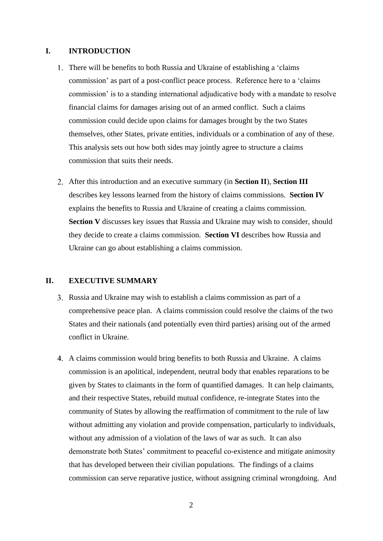#### <span id="page-1-0"></span>**I. INTRODUCTION**

- 1. There will be benefits to both Russia and Ukraine of establishing a 'claims' commission' as part of a post-conflict peace process. Reference here to a 'claims commission' is to a standing international adjudicative body with a mandate to resolve financial claims for damages arising out of an armed conflict. Such a claims commission could decide upon claims for damages brought by the two States themselves, other States, private entities, individuals or a combination of any of these. This analysis sets out how both sides may jointly agree to structure a claims commission that suits their needs.
- After this introduction and an executive summary (in **Section II**), **Section III**  describes key lessons learned from the history of claims commissions. **Section IV**  explains the benefits to Russia and Ukraine of creating a claims commission. **Section V** discusses key issues that Russia and Ukraine may wish to consider, should they decide to create a claims commission. **Section VI** describes how Russia and Ukraine can go about establishing a claims commission.

#### <span id="page-1-1"></span>**II. EXECUTIVE SUMMARY**

- Russia and Ukraine may wish to establish a claims commission as part of a comprehensive peace plan. A claims commission could resolve the claims of the two States and their nationals (and potentially even third parties) arising out of the armed conflict in Ukraine.
- A claims commission would bring benefits to both Russia and Ukraine. A claims commission is an apolitical, independent, neutral body that enables reparations to be given by States to claimants in the form of quantified damages. It can help claimants, and their respective States, rebuild mutual confidence, re-integrate States into the community of States by allowing the reaffirmation of commitment to the rule of law without admitting any violation and provide compensation, particularly to individuals, without any admission of a violation of the laws of war as such. It can also demonstrate both States' commitment to peaceful co-existence and mitigate animosity that has developed between their civilian populations. The findings of a claims commission can serve reparative justice, without assigning criminal wrongdoing. And
	- 2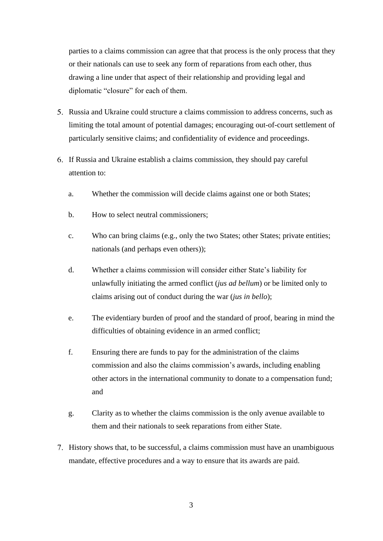parties to a claims commission can agree that that process is the only process that they or their nationals can use to seek any form of reparations from each other, thus drawing a line under that aspect of their relationship and providing legal and diplomatic "closure" for each of them.

- Russia and Ukraine could structure a claims commission to address concerns, such as limiting the total amount of potential damages; encouraging out-of-court settlement of particularly sensitive claims; and confidentiality of evidence and proceedings.
- If Russia and Ukraine establish a claims commission, they should pay careful attention to:
	- a. Whether the commission will decide claims against one or both States;
	- b. How to select neutral commissioners;
	- c. Who can bring claims (e.g., only the two States; other States; private entities; nationals (and perhaps even others));
	- d. Whether a claims commission will consider either State's liability for unlawfully initiating the armed conflict (*jus ad bellum*) or be limited only to claims arising out of conduct during the war (*jus in bello*);
	- e. The evidentiary burden of proof and the standard of proof, bearing in mind the difficulties of obtaining evidence in an armed conflict;
	- f. Ensuring there are funds to pay for the administration of the claims commission and also the claims commission's awards, including enabling other actors in the international community to donate to a compensation fund; and
	- g. Clarity as to whether the claims commission is the only avenue available to them and their nationals to seek reparations from either State.
- History shows that, to be successful, a claims commission must have an unambiguous mandate, effective procedures and a way to ensure that its awards are paid.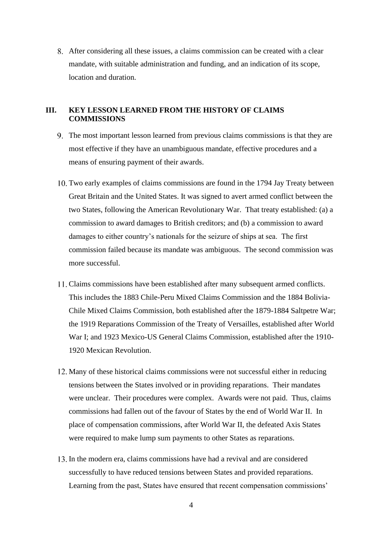After considering all these issues, a claims commission can be created with a clear mandate, with suitable administration and funding, and an indication of its scope, location and duration.

#### <span id="page-3-0"></span>**III. KEY LESSON LEARNED FROM THE HISTORY OF CLAIMS COMMISSIONS**

- The most important lesson learned from previous claims commissions is that they are most effective if they have an unambiguous mandate, effective procedures and a means of ensuring payment of their awards.
- Two early examples of claims commissions are found in the 1794 Jay Treaty between Great Britain and the United States. It was signed to avert armed conflict between the two States, following the American Revolutionary War. That treaty established: (a) a commission to award damages to British creditors; and (b) a commission to award damages to either country's nationals for the seizure of ships at sea. The first commission failed because its mandate was ambiguous. The second commission was more successful.
- Claims commissions have been established after many subsequent armed conflicts. This includes the 1883 Chile-Peru Mixed Claims Commission and the 1884 Bolivia-Chile Mixed Claims Commission, both established after the 1879-1884 Saltpetre War; the 1919 Reparations Commission of the Treaty of Versailles, established after World War I; and 1923 Mexico-US General Claims Commission, established after the 1910- 1920 Mexican Revolution.
- 12. Many of these historical claims commissions were not successful either in reducing tensions between the States involved or in providing reparations. Their mandates were unclear. Their procedures were complex. Awards were not paid. Thus, claims commissions had fallen out of the favour of States by the end of World War II. In place of compensation commissions, after World War II, the defeated Axis States were required to make lump sum payments to other States as reparations.
- 13. In the modern era, claims commissions have had a revival and are considered successfully to have reduced tensions between States and provided reparations. Learning from the past, States have ensured that recent compensation commissions'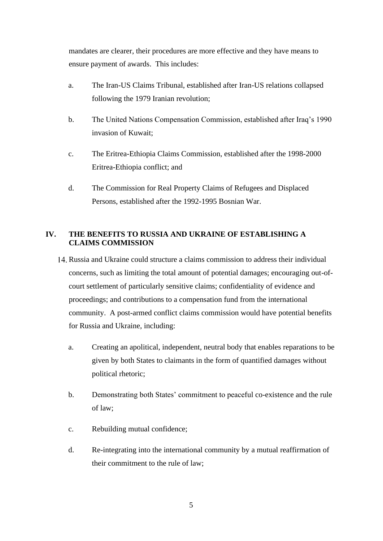mandates are clearer, their procedures are more effective and they have means to ensure payment of awards. This includes:

- a. The Iran-US Claims Tribunal, established after Iran-US relations collapsed following the 1979 Iranian revolution;
- b. The United Nations Compensation Commission, established after Iraq's 1990 invasion of Kuwait;
- c. The Eritrea-Ethiopia Claims Commission, established after the 1998-2000 Eritrea-Ethiopia conflict; and
- d. The Commission for Real Property Claims of Refugees and Displaced Persons, established after the 1992-1995 Bosnian War.

## <span id="page-4-0"></span>**IV. THE BENEFITS TO RUSSIA AND UKRAINE OF ESTABLISHING A CLAIMS COMMISSION**

- Russia and Ukraine could structure a claims commission to address their individual concerns, such as limiting the total amount of potential damages; encouraging out-ofcourt settlement of particularly sensitive claims; confidentiality of evidence and proceedings; and contributions to a compensation fund from the international community. A post-armed conflict claims commission would have potential benefits for Russia and Ukraine, including:
	- a. Creating an apolitical, independent, neutral body that enables reparations to be given by both States to claimants in the form of quantified damages without political rhetoric;
	- b. Demonstrating both States' commitment to peaceful co-existence and the rule of law;
	- c. Rebuilding mutual confidence;
	- d. Re-integrating into the international community by a mutual reaffirmation of their commitment to the rule of law;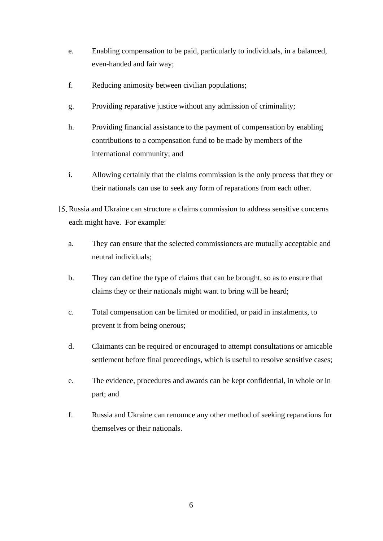- e. Enabling compensation to be paid, particularly to individuals, in a balanced, even-handed and fair way;
- f. Reducing animosity between civilian populations;
- g. Providing reparative justice without any admission of criminality;
- h. Providing financial assistance to the payment of compensation by enabling contributions to a compensation fund to be made by members of the international community; and
- i. Allowing certainly that the claims commission is the only process that they or their nationals can use to seek any form of reparations from each other.
- Russia and Ukraine can structure a claims commission to address sensitive concerns each might have. For example:
	- a. They can ensure that the selected commissioners are mutually acceptable and neutral individuals;
	- b. They can define the type of claims that can be brought, so as to ensure that claims they or their nationals might want to bring will be heard;
	- c. Total compensation can be limited or modified, or paid in instalments, to prevent it from being onerous;
	- d. Claimants can be required or encouraged to attempt consultations or amicable settlement before final proceedings, which is useful to resolve sensitive cases;
	- e. The evidence, procedures and awards can be kept confidential, in whole or in part; and
	- f. Russia and Ukraine can renounce any other method of seeking reparations for themselves or their nationals.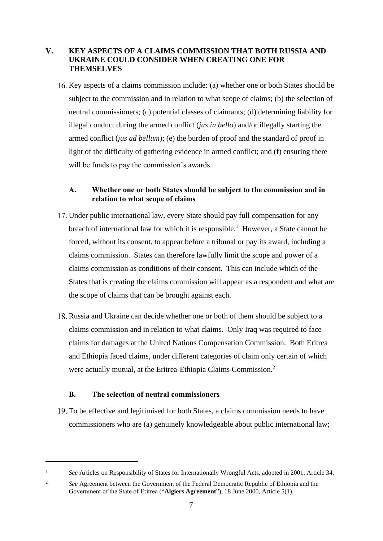#### <span id="page-6-0"></span>**V. KEY ASPECTS OF A CLAIMS COMMISSION THAT BOTH RUSSIA AND UKRAINE COULD CONSIDER WHEN CREATING ONE FOR THEMSELVES**

Key aspects of a claims commission include: (a) whether one or both States should be subject to the commission and in relation to what scope of claims; (b) the selection of neutral commissioners; (c) potential classes of claimants; (d) determining liability for illegal conduct during the armed conflict (*jus in bello*) and/or illegally starting the armed conflict (*jus ad bellum*); (e) the burden of proof and the standard of proof in light of the difficulty of gathering evidence in armed conflict; and (f) ensuring there will be funds to pay the commission's awards.

#### <span id="page-6-1"></span>**A. Whether one or both States should be subject to the commission and in relation to what scope of claims**

- Under public international law, every State should pay full compensation for any breach of international law for which it is responsible.<sup>1</sup> However, a State cannot be forced, without its consent, to appear before a tribunal or pay its award, including a claims commission. States can therefore lawfully limit the scope and power of a claims commission as conditions of their consent. This can include which of the States that is creating the claims commission will appear as a respondent and what are the scope of claims that can be brought against each.
- Russia and Ukraine can decide whether one or both of them should be subject to a claims commission and in relation to what claims. Only Iraq was required to face claims for damages at the United Nations Compensation Commission. Both Eritrea and Ethiopia faced claims, under different categories of claim only certain of which were actually mutual, at the Eritrea-Ethiopia Claims Commission.<sup>2</sup>

#### **B. The selection of neutral commissioners**

<span id="page-6-2"></span>To be effective and legitimised for both States, a claims commission needs to have commissioners who are (a) genuinely knowledgeable about public international law;

<sup>1</sup> *See* Articles on Responsibility of States for Internationally Wrongful Acts, adopted in 2001, Article 34.

<sup>&</sup>lt;sup>2</sup> See Agreement between the Government of the Federal Democratic Republic of Ethiopia and the Government of the State of Eritrea ("**Algiers Agreement**"), 18 June 2000, Article 5(1).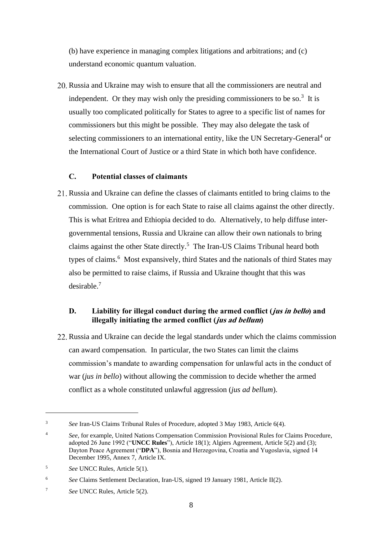(b) have experience in managing complex litigations and arbitrations; and (c) understand economic quantum valuation.

20. Russia and Ukraine may wish to ensure that all the commissioners are neutral and independent. Or they may wish only the presiding commissioners to be so.<sup>3</sup> It is usually too complicated politically for States to agree to a specific list of names for commissioners but this might be possible. They may also delegate the task of selecting commissioners to an international entity, like the UN Secretary-General<sup>4</sup> or the International Court of Justice or a third State in which both have confidence.

#### **C. Potential classes of claimants**

<span id="page-7-0"></span>Russia and Ukraine can define the classes of claimants entitled to bring claims to the commission. One option is for each State to raise all claims against the other directly. This is what Eritrea and Ethiopia decided to do. Alternatively, to help diffuse intergovernmental tensions, Russia and Ukraine can allow their own nationals to bring claims against the other State directly.<sup>5</sup> The Iran-US Claims Tribunal heard both types of claims.<sup>6</sup> Most expansively, third States and the nationals of third States may also be permitted to raise claims, if Russia and Ukraine thought that this was desirable.<sup>7</sup>

### <span id="page-7-1"></span>**D. Liability for illegal conduct during the armed conflict (jus in bello) and illegally initiating the armed conflict (jus ad bellum)**

22. Russia and Ukraine can decide the legal standards under which the claims commission can award compensation. In particular, the two States can limit the claims commission's mandate to awarding compensation for unlawful acts in the conduct of war (*jus in bello*) without allowing the commission to decide whether the armed conflict as a whole constituted unlawful aggression (*jus ad bellum*).

<sup>3</sup> *See* Iran-US Claims Tribunal Rules of Procedure, adopted 3 May 1983, Article 6(4).

<sup>&</sup>lt;sup>4</sup> *See*, for example, United Nations Compensation Commission Provisional Rules for Claims Procedure, adopted 26 June 1992 ("**UNCC Rules**"), Article 18(1); Algiers Agreement, Article 5(2) and (3); Dayton Peace Agreement ("**DPA**"), Bosnia and Herzegovina, Croatia and Yugoslavia, signed 14 December 1995, Annex 7, Article IX.

<sup>5</sup> *See* UNCC Rules, Article 5(1).

<sup>6</sup> *See* Claims Settlement Declaration, Iran-US, signed 19 January 1981, Article II(2).

<sup>7</sup> *See* UNCC Rules, Article 5(2).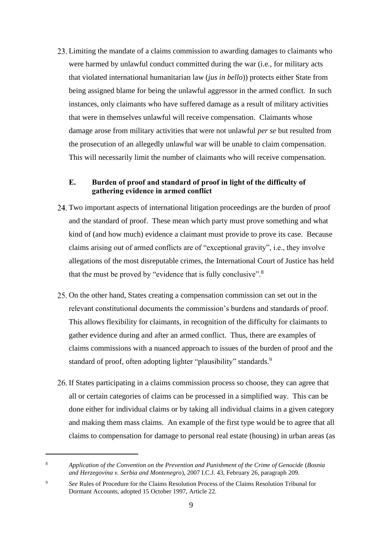Limiting the mandate of a claims commission to awarding damages to claimants who were harmed by unlawful conduct committed during the war (i.e., for military acts that violated international humanitarian law (*jus in bello*)) protects either State from being assigned blame for being the unlawful aggressor in the armed conflict. In such instances, only claimants who have suffered damage as a result of military activities that were in themselves unlawful will receive compensation. Claimants whose damage arose from military activities that were not unlawful *per se* but resulted from the prosecution of an allegedly unlawful war will be unable to claim compensation. This will necessarily limit the number of claimants who will receive compensation.

#### <span id="page-8-0"></span>**E. Burden of proof and standard of proof in light of the difficulty of gathering evidence in armed conflict**

- Two important aspects of international litigation proceedings are the burden of proof and the standard of proof. These mean which party must prove something and what kind of (and how much) evidence a claimant must provide to prove its case. Because claims arising out of armed conflicts are of "exceptional gravity", i.e., they involve allegations of the most disreputable crimes, the International Court of Justice has held that the must be proved by "evidence that is fully conclusive".<sup>8</sup>
- 25. On the other hand, States creating a compensation commission can set out in the relevant constitutional documents the commission's burdens and standards of proof. This allows flexibility for claimants, in recognition of the difficulty for claimants to gather evidence during and after an armed conflict. Thus, there are examples of claims commissions with a nuanced approach to issues of the burden of proof and the standard of proof, often adopting lighter "plausibility" standards.<sup>9</sup>
- If States participating in a claims commission process so choose, they can agree that all or certain categories of claims can be processed in a simplified way. This can be done either for individual claims or by taking all individual claims in a given category and making them mass claims. An example of the first type would be to agree that all claims to compensation for damage to personal real estate (housing) in urban areas (as

<sup>8</sup> *Application of the Convention on the Prevention and Punishment of the Crime of Genocide* (*Bosnia and Herzegovina v. Serbia and Montenegro*), 2007 I.C.J. 43, February 26, paragraph 209.

<sup>9</sup> *See* Rules of Procedure for the Claims Resolution Process of the Claims Resolution Tribunal for Dormant Accounts, adopted 15 October 1997, Article 22.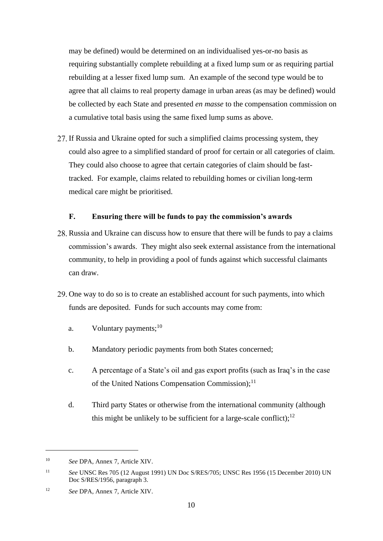may be defined) would be determined on an individualised yes-or-no basis as requiring substantially complete rebuilding at a fixed lump sum or as requiring partial rebuilding at a lesser fixed lump sum. An example of the second type would be to agree that all claims to real property damage in urban areas (as may be defined) would be collected by each State and presented *en masse* to the compensation commission on a cumulative total basis using the same fixed lump sums as above.

27. If Russia and Ukraine opted for such a simplified claims processing system, they could also agree to a simplified standard of proof for certain or all categories of claim. They could also choose to agree that certain categories of claim should be fasttracked. For example, claims related to rebuilding homes or civilian long-term medical care might be prioritised.

#### **F. Ensuring there will be funds to pay the commission's awards**

- <span id="page-9-0"></span>28. Russia and Ukraine can discuss how to ensure that there will be funds to pay a claims commission's awards. They might also seek external assistance from the international community, to help in providing a pool of funds against which successful claimants can draw.
- 29. One way to do so is to create an established account for such payments, into which funds are deposited. Funds for such accounts may come from:
	- a. Voluntary payments;  $^{10}$
	- b. Mandatory periodic payments from both States concerned;
	- c. A percentage of a State's oil and gas export profits (such as Iraq's in the case of the United Nations Compensation Commission);<sup>11</sup>
	- d. Third party States or otherwise from the international community (although this might be unlikely to be sufficient for a large-scale conflict);  $12$

<sup>10</sup> *See* DPA, Annex 7, Article XIV.

<sup>11</sup> *See* UNSC Res 705 (12 August 1991) UN Doc S/RES/705; UNSC Res 1956 (15 December 2010) UN Doc S/RES/1956, paragraph 3.

<sup>12</sup> *See* DPA, Annex 7, Article XIV.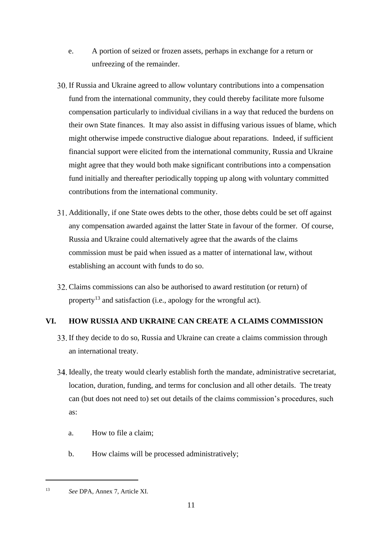- e. A portion of seized or frozen assets, perhaps in exchange for a return or unfreezing of the remainder.
- If Russia and Ukraine agreed to allow voluntary contributions into a compensation fund from the international community, they could thereby facilitate more fulsome compensation particularly to individual civilians in a way that reduced the burdens on their own State finances. It may also assist in diffusing various issues of blame, which might otherwise impede constructive dialogue about reparations. Indeed, if sufficient financial support were elicited from the international community, Russia and Ukraine might agree that they would both make significant contributions into a compensation fund initially and thereafter periodically topping up along with voluntary committed contributions from the international community.
- Additionally, if one State owes debts to the other, those debts could be set off against any compensation awarded against the latter State in favour of the former. Of course, Russia and Ukraine could alternatively agree that the awards of the claims commission must be paid when issued as a matter of international law, without establishing an account with funds to do so.
- Claims commissions can also be authorised to award restitution (or return) of property<sup>13</sup> and satisfaction (i.e., apology for the wrongful act).

## <span id="page-10-0"></span>**VI. HOW RUSSIA AND UKRAINE CAN CREATE A CLAIMS COMMISSION**

- If they decide to do so, Russia and Ukraine can create a claims commission through an international treaty.
- Ideally, the treaty would clearly establish forth the mandate, administrative secretariat, location, duration, funding, and terms for conclusion and all other details. The treaty can (but does not need to) set out details of the claims commission's procedures, such as:
	- a. How to file a claim;
	- b. How claims will be processed administratively;

<sup>13</sup> *See* DPA, Annex 7, Article XI.